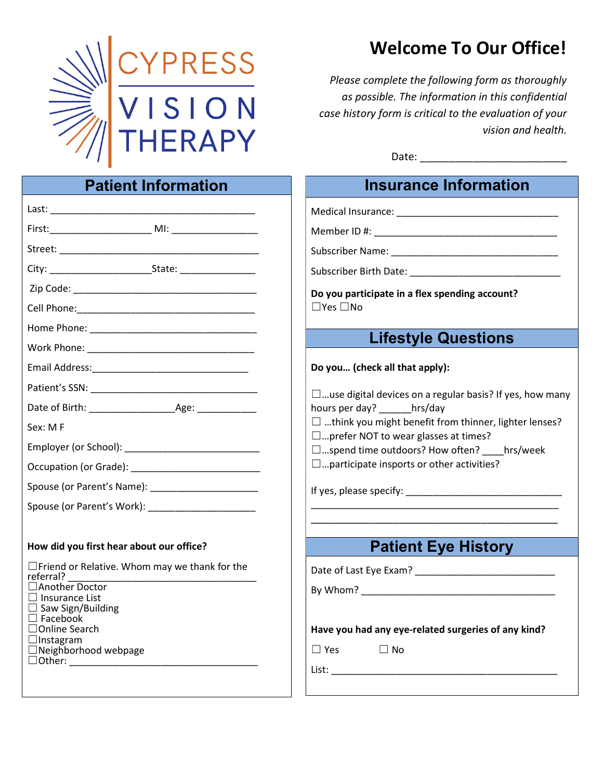

## Welcome To Our Office!

Please complete the following form as thoroughly as possible. The information in this confidential case history form is critical to the evaluation of your vision and health.

Date: \_\_\_\_\_\_\_\_\_\_\_\_\_\_\_\_\_\_\_\_\_\_\_\_\_

#### Patient Information Last: \_\_\_\_\_\_\_\_\_\_\_\_\_\_\_\_\_\_\_\_\_\_\_\_\_\_\_\_\_\_\_\_\_\_\_\_\_\_ First:\_\_\_\_\_\_\_\_\_\_\_\_\_\_\_\_\_\_\_ MI: \_\_\_\_\_\_\_\_\_\_\_\_\_\_\_\_ Street: City: example and the State: Zip Code: \_\_\_\_\_\_\_\_\_\_\_\_\_\_\_\_\_\_\_\_\_\_\_\_\_\_\_\_\_\_\_\_\_\_ Cell Phone: Home Phone: \_\_\_\_\_\_\_\_\_\_\_\_\_\_\_\_\_\_\_\_\_\_\_\_\_\_\_\_\_\_\_ Work Phone: \_\_\_\_\_\_\_\_\_\_\_\_\_\_\_\_\_\_\_\_\_\_\_\_\_\_\_\_\_\_\_ Email Address:\_\_\_\_\_\_\_\_\_\_\_\_\_\_\_\_\_\_\_\_\_\_\_\_\_\_\_\_\_ Patient's SSN: \_\_\_\_\_\_\_\_\_\_\_\_\_\_\_\_\_\_\_\_\_\_\_\_\_\_\_\_\_\_\_ Date of Birth: \_\_\_\_\_\_\_\_\_\_\_\_\_\_\_\_Age: \_\_\_\_\_\_\_\_\_\_\_ Sex: M F Employer (or School): \_\_\_\_\_\_\_\_\_\_\_\_\_\_\_\_\_\_\_\_\_\_\_\_\_ Occupation (or Grade): Spouse (or Parent's Name): \_\_\_\_\_\_\_\_\_\_\_\_\_\_\_\_\_\_\_\_ Spouse (or Parent's Work): \_\_\_\_\_\_\_\_\_\_\_\_\_\_\_\_\_\_\_\_ How did you first hear about our office? ☐Friend or Relative. Whom may we thank for the referral? \_\_\_\_\_\_\_\_\_\_\_\_\_\_\_\_\_\_\_\_\_\_\_\_\_\_\_\_\_\_\_\_\_\_\_ ☐Another Doctor □ Insurance List  $\Box$  Saw Sign/Building ☐ Facebook ☐Online Search  $\Box$ Instagram ☐Neighborhood webpage ☐Other: \_\_\_\_\_\_\_\_\_\_\_\_\_\_\_\_\_\_\_\_\_\_\_\_\_\_\_\_\_\_\_\_\_\_\_ Insurance Information Medical Insurance: \_\_\_\_\_\_\_\_\_\_\_\_\_\_\_\_\_\_\_\_\_\_\_\_\_\_\_\_\_\_ Member ID #: \_\_\_\_\_\_\_\_\_\_\_\_\_\_\_\_\_\_\_\_\_\_\_\_\_\_\_\_\_\_\_\_\_\_ Subscriber Name: \_\_\_\_\_\_\_\_\_\_\_\_\_\_\_\_\_\_\_\_\_\_\_\_\_\_\_\_\_\_\_ Subscriber Birth Date: \_\_\_\_\_\_\_\_\_\_\_\_\_\_\_\_\_\_\_\_\_\_\_\_\_\_\_\_ Do you participate in a flex spending account?  $\Box$ Yes  $\Box$ No Lifestyle Questions Do you… (check all that apply):  $\square$ ...use digital devices on a regular basis? If yes, how many hours per day? \_\_\_\_\_\_hrs/day  $\Box$  ...think you might benefit from thinner, lighter lenses? ☐…prefer NOT to wear glasses at times? ☐…spend time outdoors? How often? \_\_\_\_hrs/week  $\square$ ... participate insports or other activities? If yes, please specify: \_\_\_\_\_\_\_\_\_\_\_\_\_\_\_\_\_\_\_\_\_\_\_\_\_\_\_\_\_ \_\_\_\_\_\_\_\_\_\_\_\_\_\_\_\_\_\_\_\_\_\_\_\_\_\_\_\_\_\_\_\_\_\_\_\_\_\_\_\_\_\_\_\_\_\_ \_\_\_\_\_\_\_\_\_\_\_\_\_\_\_\_\_\_\_\_\_\_\_\_\_\_\_\_\_\_\_\_\_\_\_\_\_\_\_\_\_\_ Patient Eye History Date of Last Eye Exam? \_\_\_\_\_\_\_\_\_\_\_\_\_\_\_\_\_\_\_\_\_\_\_\_\_\_ By Whom? Have you had any eye-related surgeries of any kind?  $\square$  Yes  $\square$  No List: \_\_\_\_\_\_\_\_\_\_\_\_\_\_\_\_\_\_\_\_\_\_\_\_\_\_\_\_\_\_\_\_\_\_\_\_\_\_\_\_\_\_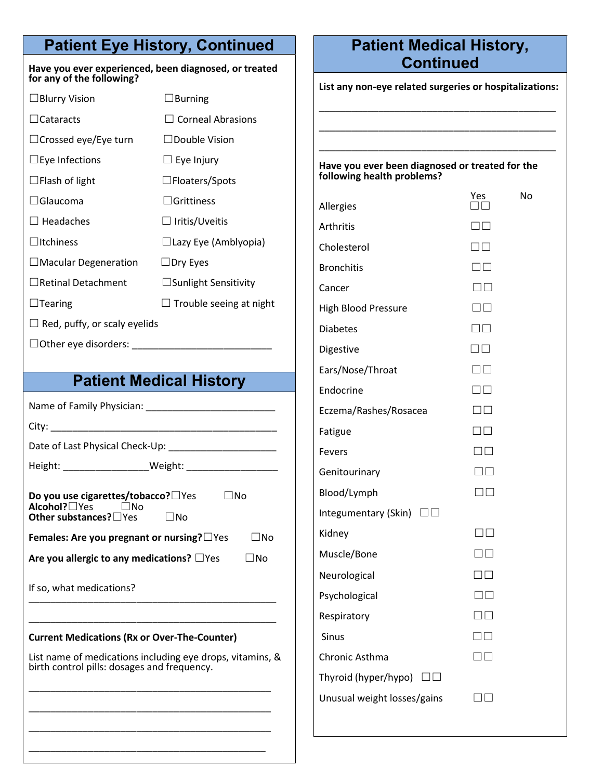## Patient Eye History, Continued

#### Have you ever experienced, been diagnosed, or treated for any of the following?

| $\Box$ Blurry Vision                | $\square$ Burning              |  |
|-------------------------------------|--------------------------------|--|
| $\Box$ Cataracts                    | $\Box$ Corneal Abrasions       |  |
| $\Box$ Crossed eye/Eye turn         | $\Box$ Double Vision           |  |
| $\Box$ Eye Infections               | $\Box$ Eye Injury              |  |
| $\Box$ Flash of light               | $\square$ Floaters/Spots       |  |
| l  Glaucoma                         | $\Box$ Grittiness              |  |
| $\Box$ Headaches                    | $\Box$ Iritis/Uveitis          |  |
| $\Box$ Itchiness                    | $\Box$ Lazy Eye (Amblyopia)    |  |
| $\Box$ Macular Degeneration         | $\Box$ Dry Eyes                |  |
| $\Box$ Retinal Detachment           | $\Box$ Sunlight Sensitivity    |  |
| $\Box$ Tearing                      | $\Box$ Trouble seeing at night |  |
| $\Box$ Red, puffy, or scaly eyelids |                                |  |

☐Other eye disorders: \_\_\_\_\_\_\_\_\_\_\_\_\_\_\_\_\_\_\_\_\_\_\_\_\_\_

### Patient Medical History

Name of Family Physician: \_\_\_\_\_\_\_\_\_\_\_\_\_\_\_\_\_\_\_\_\_\_\_\_ City: \_\_\_\_\_\_\_\_\_\_\_\_\_\_\_\_\_\_\_\_\_\_\_\_\_\_\_\_\_\_\_\_\_\_\_\_\_\_\_\_\_\_ Date of Last Physical Check-Up: \_\_\_\_\_\_\_\_\_\_\_\_\_\_\_\_\_\_\_\_ Height: \_\_\_\_\_\_\_\_\_\_\_\_\_\_\_\_Weight: \_\_\_\_\_\_\_\_\_\_\_\_\_\_\_\_\_ Do you use cigarettes/tobacco?□Yes □ □No Alcohol?□Yes □No Other substances?□Yes □No Females: Are you pregnant or nursing?□Yes □ □No Are you allergic to any medications?  $\square$  Yes  $\square$  No

If so, what medications? \_\_\_\_\_\_\_\_\_\_\_\_\_\_\_\_\_\_\_\_\_\_\_\_\_\_\_\_\_\_\_\_\_\_\_\_\_\_\_\_\_\_\_\_\_\_

### Current Medications (Rx or Over-The-Counter)

List name of medications including eye drops, vitamins, & birth control pills: dosages and frequency.

\_\_\_\_\_\_\_\_\_\_\_\_\_\_\_\_\_\_\_\_\_\_\_\_\_\_\_\_\_\_\_\_\_\_\_\_\_\_\_\_\_\_\_\_\_

\_\_\_\_\_\_\_\_\_\_\_\_\_\_\_\_\_\_\_\_\_\_\_\_\_\_\_\_\_\_\_\_\_\_\_\_\_\_\_\_\_\_\_\_\_

\_\_\_\_\_\_\_\_\_\_\_\_\_\_\_\_\_\_\_\_\_\_\_\_\_\_\_\_\_\_\_\_\_\_\_\_\_\_\_\_\_\_\_\_\_

\_\_\_\_\_\_\_\_\_\_\_\_\_\_\_\_\_\_\_\_\_\_\_\_\_\_\_\_\_\_\_\_\_\_\_\_\_\_\_\_\_\_\_\_

\_\_\_\_\_\_\_\_\_\_\_\_\_\_\_\_\_\_\_\_\_\_\_\_\_\_\_\_\_\_\_\_\_\_\_\_\_\_\_\_\_\_\_\_\_\_

### Patient Medical History, **Continued**

List any non-eye related surgeries or hospitalizations:

\_\_\_\_\_\_\_\_\_\_\_\_\_\_\_\_\_\_\_\_\_\_\_\_\_\_\_\_\_\_\_\_\_\_\_\_\_\_\_\_\_\_\_\_

\_\_\_\_\_\_\_\_\_\_\_\_\_\_\_\_\_\_\_\_\_\_\_\_\_\_\_\_\_\_\_\_\_\_\_\_\_\_\_\_\_\_\_\_

\_\_\_\_\_\_\_\_\_\_\_\_\_\_\_\_\_\_\_\_\_\_\_\_\_\_\_\_\_\_\_\_\_\_\_\_\_\_\_\_\_\_\_\_

#### Have you ever been diagnosed or treated for the following health problems?

|                             | Yes                 | No |
|-----------------------------|---------------------|----|
| Allergies                   |                     |    |
| Arthritis                   | $\Box$ $\Box$       |    |
| Cholesterol                 | $\square$ $\square$ |    |
| <b>Bronchitis</b>           | $\square$ $\square$ |    |
| Cancer                      | $\Box\Box$          |    |
| <b>High Blood Pressure</b>  | $\Box$              |    |
| <b>Diabetes</b>             | $\square$ $\square$ |    |
| Digestive                   | $\Box$ $\Box$       |    |
| Ears/Nose/Throat            | $\Box\Box$          |    |
| Endocrine                   | $\Box\Box$          |    |
| Eczema/Rashes/Rosacea       | $\Box$              |    |
| Fatigue                     | $\square$ $\square$ |    |
| Fevers                      | $\Box$              |    |
| Genitourinary               | $\square$ $\square$ |    |
| Blood/Lymph                 | $\square \square$   |    |
| Integumentary (Skin)<br>шш  |                     |    |
| Kidney                      | $\neg \Box$         |    |
| Muscle/Bone                 | $\square$ $\square$ |    |
| Neurological                | $\Box$ $\Box$       |    |
| Psychological               | $\Box\Box$          |    |
| Respiratory                 | $\Box$ $\Box$       |    |
| Sinus                       | $\Box\Box$          |    |
| Chronic Asthma              |                     |    |
| Thyroid (hyper/hypo)        |                     |    |
| Unusual weight losses/gains |                     |    |
|                             |                     |    |